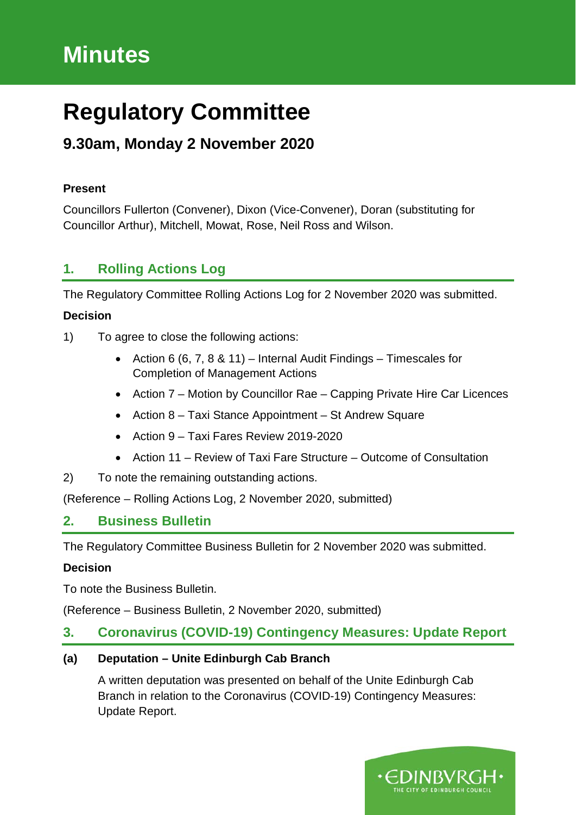# **Minutes**

# **Regulatory Committee**

# **9.30am, Monday 2 November 2020**

#### **Present**

Councillors Fullerton (Convener), Dixon (Vice-Convener), Doran (substituting for Councillor Arthur), Mitchell, Mowat, Rose, Neil Ross and Wilson.

# **1. Rolling Actions Log**

The Regulatory Committee Rolling Actions Log for 2 November 2020 was submitted.

## **Decision**

- 1) To agree to close the following actions:
	- Action 6 (6, 7, 8 & 11) Internal Audit Findings Timescales for Completion of Management Actions
	- Action 7 Motion by Councillor Rae Capping Private Hire Car Licences
	- Action 8 Taxi Stance Appointment St Andrew Square
	- Action 9 Taxi Fares Review 2019-2020
	- Action 11 Review of Taxi Fare Structure Outcome of Consultation
- 2) To note the remaining outstanding actions.

(Reference – Rolling Actions Log, 2 November 2020, submitted)

# **2. Business Bulletin**

The Regulatory Committee Business Bulletin for 2 November 2020 was submitted.

## **Decision**

To note the Business Bulletin.

(Reference – Business Bulletin, 2 November 2020, submitted)

# **3. Coronavirus (COVID-19) Contingency Measures: Update Report**

## **(a) Deputation – Unite Edinburgh Cab Branch**

A written deputation was presented on behalf of the Unite Edinburgh Cab Branch in relation to the Coronavirus (COVID-19) Contingency Measures: Update Report.

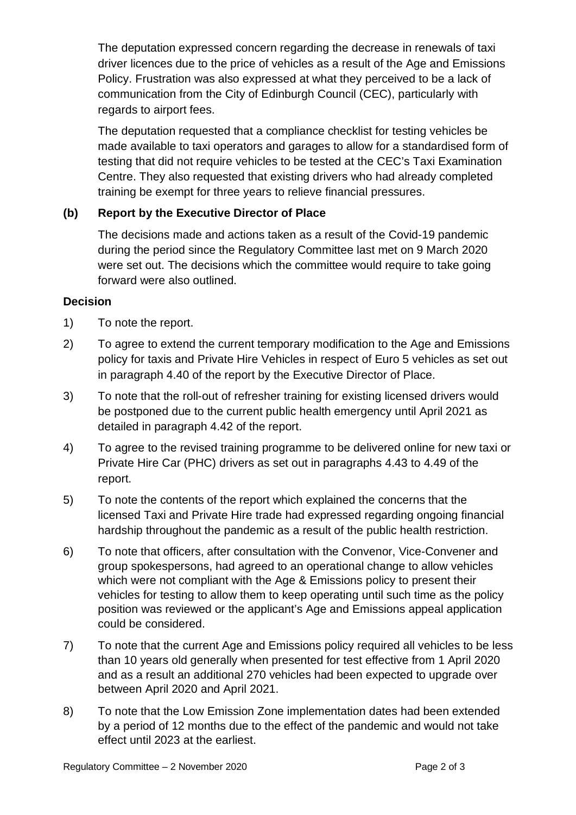The deputation expressed concern regarding the decrease in renewals of taxi driver licences due to the price of vehicles as a result of the Age and Emissions Policy. Frustration was also expressed at what they perceived to be a lack of communication from the City of Edinburgh Council (CEC), particularly with regards to airport fees.

The deputation requested that a compliance checklist for testing vehicles be made available to taxi operators and garages to allow for a standardised form of testing that did not require vehicles to be tested at the CEC's Taxi Examination Centre. They also requested that existing drivers who had already completed training be exempt for three years to relieve financial pressures.

## **(b) Report by the Executive Director of Place**

The decisions made and actions taken as a result of the Covid-19 pandemic during the period since the Regulatory Committee last met on 9 March 2020 were set out. The decisions which the committee would require to take going forward were also outlined.

#### **Decision**

- 1) To note the report.
- 2) To agree to extend the current temporary modification to the Age and Emissions policy for taxis and Private Hire Vehicles in respect of Euro 5 vehicles as set out in paragraph 4.40 of the report by the Executive Director of Place.
- 3) To note that the roll-out of refresher training for existing licensed drivers would be postponed due to the current public health emergency until April 2021 as detailed in paragraph 4.42 of the report.
- 4) To agree to the revised training programme to be delivered online for new taxi or Private Hire Car (PHC) drivers as set out in paragraphs 4.43 to 4.49 of the report.
- 5) To note the contents of the report which explained the concerns that the licensed Taxi and Private Hire trade had expressed regarding ongoing financial hardship throughout the pandemic as a result of the public health restriction.
- 6) To note that officers, after consultation with the Convenor, Vice-Convener and group spokespersons, had agreed to an operational change to allow vehicles which were not compliant with the Age & Emissions policy to present their vehicles for testing to allow them to keep operating until such time as the policy position was reviewed or the applicant's Age and Emissions appeal application could be considered.
- 7) To note that the current Age and Emissions policy required all vehicles to be less than 10 years old generally when presented for test effective from 1 April 2020 and as a result an additional 270 vehicles had been expected to upgrade over between April 2020 and April 2021.
- 8) To note that the Low Emission Zone implementation dates had been extended by a period of 12 months due to the effect of the pandemic and would not take effect until 2023 at the earliest.